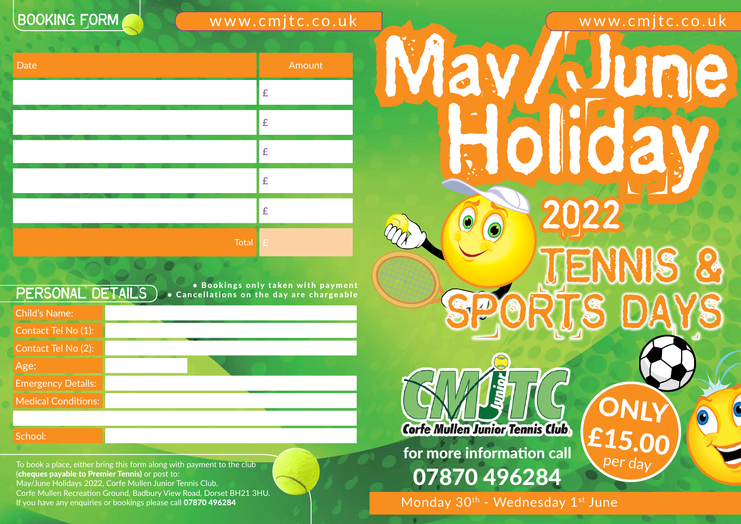To book a place, either bring this form along with payment to the club (cheques payable to Premier Tennis) or post to: May/June Holidays 2022, Corfe Mullen Junior Tennis Club, Corfe Mullen Recreation Ground, Badbury View Road, Dorset BH21 3HU. If you have any enquiries or bookings please call 07870 496284

# **BOOKING FORM**

www.cmjtc.co.uk

for more information call 07870 496284

Monday 30<sup>th</sup> - Wednesday 1<sup>st</sup> June



# www.cmjtc.co.uk May/June Holiday 2022 Tennis & SPORTS DAYS **ONLY Corfe Mullen Junior Tennis Club.** £15.00 per day

School: